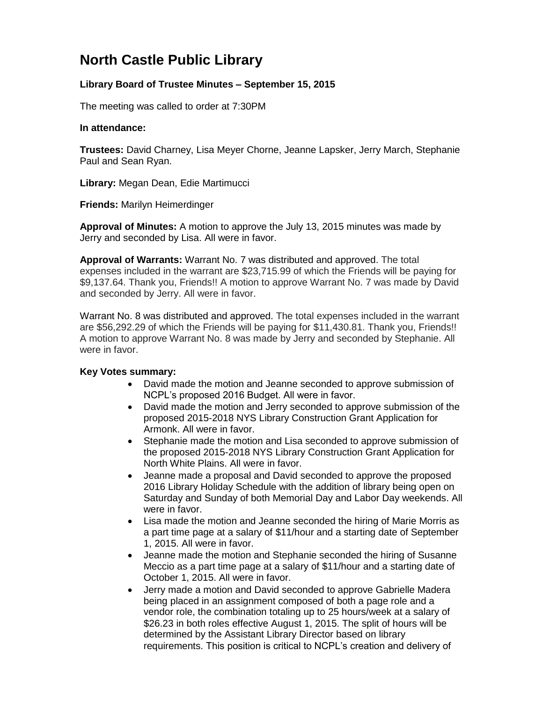## **North Castle Public Library**

## **Library Board of Trustee Minutes – September 15, 2015**

The meeting was called to order at 7:30PM

## **In attendance:**

**Trustees:** David Charney, Lisa Meyer Chorne, Jeanne Lapsker, Jerry March, Stephanie Paul and Sean Ryan.

**Library:** Megan Dean, Edie Martimucci

**Friends:** Marilyn Heimerdinger

**Approval of Minutes:** A motion to approve the July 13, 2015 minutes was made by Jerry and seconded by Lisa. All were in favor.

**Approval of Warrants:** Warrant No. 7 was distributed and approved. The total expenses included in the warrant are \$23,715.99 of which the Friends will be paying for \$9,137.64. Thank you, Friends!! A motion to approve Warrant No. 7 was made by David and seconded by Jerry. All were in favor.

Warrant No. 8 was distributed and approved. The total expenses included in the warrant are \$56,292.29 of which the Friends will be paying for \$11,430.81. Thank you, Friends!! A motion to approve Warrant No. 8 was made by Jerry and seconded by Stephanie. All were in favor.

## **Key Votes summary:**

- David made the motion and Jeanne seconded to approve submission of NCPL's proposed 2016 Budget. All were in favor.
- David made the motion and Jerry seconded to approve submission of the proposed 2015-2018 NYS Library Construction Grant Application for Armonk. All were in favor.
- Stephanie made the motion and Lisa seconded to approve submission of the proposed 2015-2018 NYS Library Construction Grant Application for North White Plains. All were in favor.
- Jeanne made a proposal and David seconded to approve the proposed 2016 Library Holiday Schedule with the addition of library being open on Saturday and Sunday of both Memorial Day and Labor Day weekends. All were in favor.
- Lisa made the motion and Jeanne seconded the hiring of Marie Morris as a part time page at a salary of \$11/hour and a starting date of September 1, 2015. All were in favor.
- Jeanne made the motion and Stephanie seconded the hiring of Susanne Meccio as a part time page at a salary of \$11/hour and a starting date of October 1, 2015. All were in favor.
- Jerry made a motion and David seconded to approve Gabrielle Madera being placed in an assignment composed of both a page role and a vendor role, the combination totaling up to 25 hours/week at a salary of \$26.23 in both roles effective August 1, 2015. The split of hours will be determined by the Assistant Library Director based on library requirements. This position is critical to NCPL's creation and delivery of